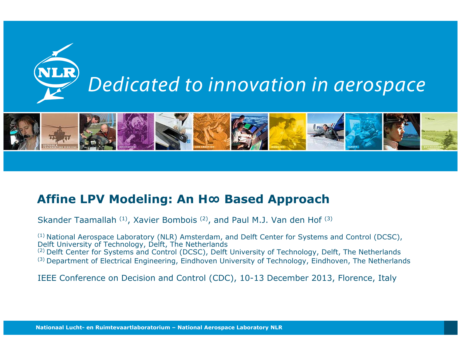



#### **Affine LPV Modeling: An H<sup>∞</sup> Based Approach**

Skander Taamallah (1), Xavier Bombois (2), and Paul M.J. Van den Hof (3)

(1) National Aerospace Laboratory (NLR) Amsterdam, and Delft Center for Systems and Control (DCSC), Delft University of Technology, Delft, The Netherlands (2) Delft Center for Systems and Control (DCSC), Delft University of Technology, Delft, The Netherlands (3) Department of Electrical Engineering, Eindhoven University of Technology, Eindhoven, The Netherlands

IEEE Conference on Decision and Control (CDC), 10-13 December 2013, Florence, Italy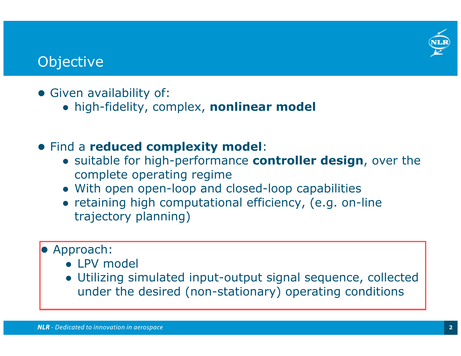# **Objective**

- Given availability of:
	- high-fidelity, complex, **nonlinear model**
- Find a **reduced complexity model**:
	- suitable for high-performance **controller design**, over the complete operating regime
	- With open open-loop and closed-loop capabilities
	- retaining high computational efficiency, (e.g. on-line trajectory planning)
- **•** Approach:
	- LPV model
	- Utilizing simulated input-output signal sequence, collected under the desired (non-stationary) operating conditions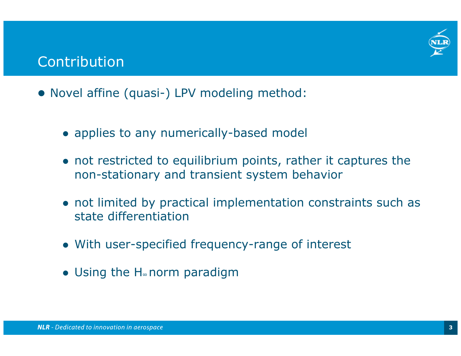

## Contribution

- Novel affine (quasi-) LPV modeling method:
	- applies to any numerically-based model
	- not restricted to equilibrium points, rather it captures the non-stationary and transient system behavior
	- not limited by practical implementation constraints such as state differentiation
	- With user-specified frequency-range of interest
	- Using the H<sup>∞</sup> norm paradigm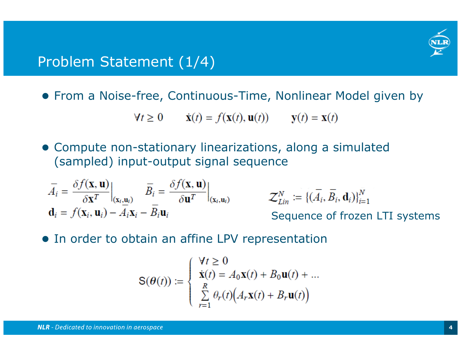

## Problem Statement (1/4)

From a Noise-free, Continuous-Time, Nonlinear Model given by

$$
\mathbf{A}t \ge 0 \qquad \dot{\mathbf{x}}(t) = f(\mathbf{x}(t), \mathbf{u}(t)) \qquad \mathbf{y}(t) = \mathbf{x}(t)
$$

 Compute non-stationary linearizations, along a simulated (sampled) input-output signal sequence

$$
\overline{A}_{i} = \frac{\delta f(\mathbf{x}, \mathbf{u})}{\delta \mathbf{x}^{T}} \Big|_{(\mathbf{x}_{i}, \mathbf{u}_{i})} \quad \overline{B}_{i} = \frac{\delta f(\mathbf{x}, \mathbf{u})}{\delta \mathbf{u}^{T}} \Big|_{(\mathbf{x}_{i}, \mathbf{u}_{i})} \quad \mathcal{Z}_{Lin}^{N} :=
$$
\n
$$
\mathbf{d}_{i} = f(\mathbf{x}_{i}, \mathbf{u}_{i}) - \overline{A}_{i} \mathbf{x}_{i} - \overline{B}_{i} \mathbf{u}_{i} \quad \text{Sequence}
$$

 $\{(\overline{A}_i, \overline{B}_i, \mathbf{d}_i)\}_{i=1}^N$ 

ence of frozen LTI systems

**•** In order to obtain an affine LPV representation

$$
\mathbf{S}(\boldsymbol{\theta}(t)) := \begin{cases} \forall t \geq 0 \\ \dot{\mathbf{x}}(t) = A_0 \mathbf{x}(t) + B_0 \mathbf{u}(t) + \dots \\ \sum_{r=1}^R \theta_r(t) \Big( A_r \mathbf{x}(t) + B_r \mathbf{u}(t) \Big) \end{cases}
$$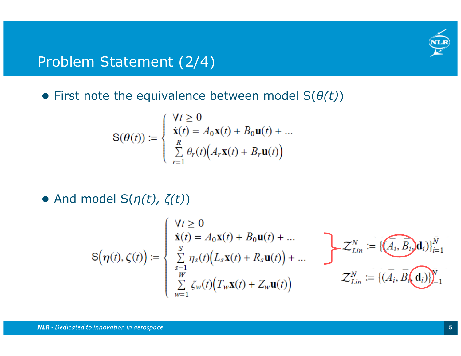

# Problem Statement (2/4)

First note the equivalence between model S( *θ(t)* )

$$
\mathbf{S}(\boldsymbol{\theta}(t)) := \begin{cases} \forall t \ge 0 \\ \dot{\mathbf{x}}(t) = A_0 \mathbf{x}(t) + B_0 \mathbf{u}(t) + \dots \\ \sum_{r=1}^{R} \theta_r(t) \Big( A_r \mathbf{x}(t) + B_r \mathbf{u}(t) \Big) \end{cases}
$$

And model S( *η(t), ζ(t)* )

$$
S(\boldsymbol{\eta}(t), \zeta(t)) := \begin{cases} \forall t \geq 0 \\ \dot{\mathbf{x}}(t) = A_0 \mathbf{x}(t) + B_0 \mathbf{u}(t) + \dots \\ \sum_{s=1}^{S} \eta_s(t) (L_s \mathbf{x}(t) + R_s \mathbf{u}(t)) + \dots \\ \sum_{w=1}^{W} \zeta_w(t) (T_w \mathbf{x}(t) + Z_w \mathbf{u}(t)) \end{cases} \qquad \mathcal{Z}_{Lin}^N := \{ (\overline{A_i}, \overline{B_i}, \overline{\mathbf{d}_i}) \}_{i=1}^N
$$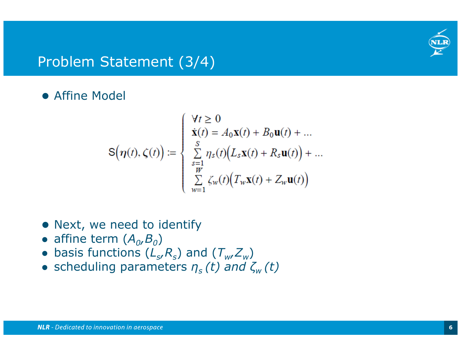

# Problem Statement (3/4)

### **• Affine Model**

$$
\mathbf{S}\Big(\boldsymbol{\eta}(t),\boldsymbol{\zeta}(t)\Big) := \begin{cases} \forall t \geq 0 \\ \dot{\mathbf{x}}(t) = A_0 \mathbf{x}(t) + B_0 \mathbf{u}(t) + \dots \\ \sum\limits_{\substack{s=1 \\ w}}^{S} \eta_s(t) \Big(L_s \mathbf{x}(t) + R_s \mathbf{u}(t)\Big) + \dots \\ \sum\limits_{w=1}^{W} \zeta_w(t) \Big(T_w \mathbf{x}(t) + Z_w \mathbf{u}(t)\Big) \end{cases}
$$

- Next, we need to identify
- $\bullet$  affine term  $(A_o,B_o)$
- $\bullet$  basis functions  $(L_{\rm s}/R_{\rm s})$  and  $(T_{\rm w}/Z_{\rm w})$
- scheduling parameters  $\eta_s(t)$  and  $\zeta_w(t)$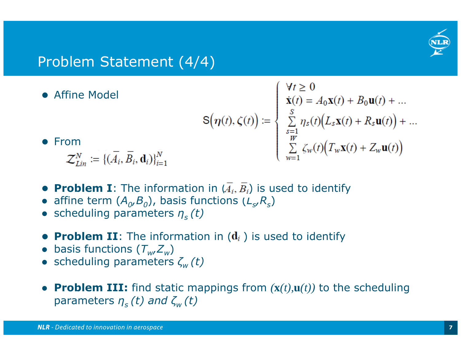

# Problem Statement (4/4)

**• Affine Model** 

$$
\mathsf{S}\big(\boldsymbol{\eta}(t),\boldsymbol{\zeta}(t)\big)\coloneqq
$$

From

 $\mathcal{Z}^N_{Lin} \coloneqq \{(\overline{A}_i, \overline{B}_i, \mathbf{d}_i)\}_{i=1}^N$ 

- $\therefore$ <br>  $\begin{cases}\n\dot{\mathbf{x}}(t) = A_0 \mathbf{x}(t) + B_0 \mathbf{u}(t) + \dots \\
\sum_{\substack{s=1 \ y=1}}^{S} \eta_s(t) (L_s \mathbf{x}(t) + R_s \mathbf{u}(t)) + \dots \\
\sum_{w=1}^{W} \zeta_w(t) (T_w \mathbf{x}(t) + Z_w \mathbf{u}(t))\n\end{cases}$
- **Problem I**: The information in  $(A_i, B_i)$  is used to identify
- $\bullet$ • affine term  $(A_{0},B_{0})$ , basis functions  $(L_{s},R_{s})$
- $\bullet$ scheduling parameters *ηs (t)*
- **Problem II**: The information in  $(\mathbf{d}_i)$  is used to identify
- $\bullet$  $\bullet$  basis functions  $(T_w Z_w)$
- $\bullet$ scheduling parameters *ζw (t)*
- $\bullet$ • **Problem III:** find static mappings from  $(\mathbf{x}(t), \mathbf{u}(t))$  to the scheduling parameters *ηs (t) and ζw (t)*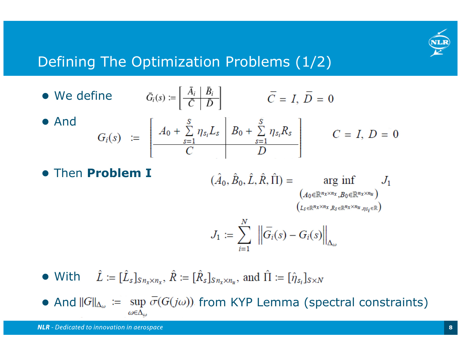

 $\theta$ 

# Defining The Optimization Problems (1/2)

\n- We define\n 
$$
\bar{G}_i(s) \coloneqq \left[ \frac{\bar{A}_i}{\bar{C}} \middle| \frac{\bar{B}_i}{\bar{D}} \right] \qquad \bar{C} = I, \ \bar{D} = 0
$$
\n
\n- And\n 
$$
G_i(s) \coloneqq \left[ \frac{A_0 + \sum_{s=1}^S \eta_{s_i} L_s}{\bar{C}} \middle| \frac{B_0 + \sum_{s=1}^S \eta_{s_i} R_s}{\bar{D}} \right] \qquad C = I, \ D =
$$
\n
\n

- Then **ProblemI** $(\hat{A}_0, \hat{B}_0, \hat{L}, \hat{R}, \hat{\Pi}) = \arg \inf_{(A_0 \in \mathbb{R}^{n_x \times n_x}, B_0 \in \mathbb{R}^{n_x \times n_u})} J_1$  $(L_{\mathcal{S}} \in \mathbb{R}^{n_{X} \times n_{X}}, R_{\mathcal{S}} \in \mathbb{R}^{n_{X} \times n_{U}}, n_{\mathcal{S}_{i}} \in \mathbb{R})$  $J_1 := \sum_{i=1}^N \left\| \overline{G}_i(s) - G_i(s) \right\|_{\Delta_\omega}$
- With
- And  $||G||_{\Delta_{\omega}} := \sup \sigma(G(j\omega))$  from KYP Lemma (spectral constraints)  $\omega \in \Delta_{\omega}$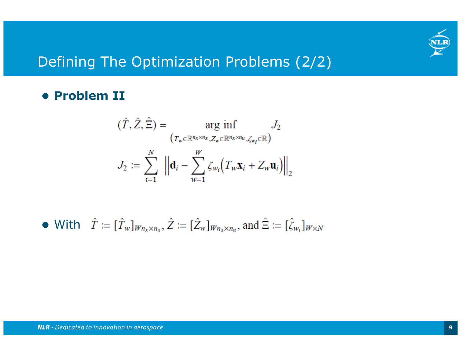

# Defining The Optimization Problems (2/2)

### **Problem II**

$$
(\hat{T}, \hat{Z}, \hat{\Xi}) = \arg \inf_{(T_w \in \mathbb{R}^{n_x \times n_x}, Z_w \in \mathbb{R}^{n_x \times n_u}, \zeta_{w_i} \in \mathbb{R})} J_2
$$

$$
J_2 := \sum_{i=1}^N \left\| \mathbf{d}_i - \sum_{w=1}^W \zeta_{w_i} \left( T_w \mathbf{x}_i + Z_w \mathbf{u}_i \right) \right\|_2
$$

• With 
$$
\hat{T} := [\hat{T}_w]_{W_n \times n_x}, \hat{Z} := [\hat{Z}_w]_{W_n \times n_u}
$$
, and  $\hat{\Xi} := [\hat{\zeta}_{w_i}]_{W \times N}$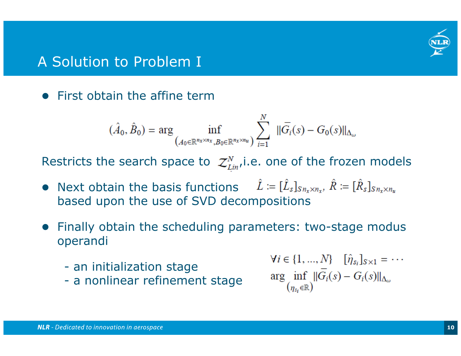

# A Solution to Problem I

• First obtain the affine term

$$
(\hat{A}_0, \hat{B}_0) = \arg \inf_{(A_0 \in \mathbb{R}^{n_x \times n_x}, B_0 \in \mathbb{R}^{n_x \times n_u})} \sum_{i=1}^N \|\overline{G}_i(s) - G_0(s)\|_{\Delta_{\omega}}
$$

Restricts the search space to  $z_{\text{Lin}}^N$ , i.e. one of the frozen models

- Next obtain the basis functions based upon the use of SVD decompositions
- Finally obtain the scheduling parameters: two-stage modus operandi
	- an initialization stage
	- a nonlinear refinement stage

 $\forall i \in \{1, ..., N\}$   $[\hat{\eta}_{s_i}]_{s \times 1} = \cdots$ arg inf  $\|\overline{G_i}(s) - G_i(s)\|_{\Delta_\omega}$  $(n_{s_i} \in \mathbb{R})$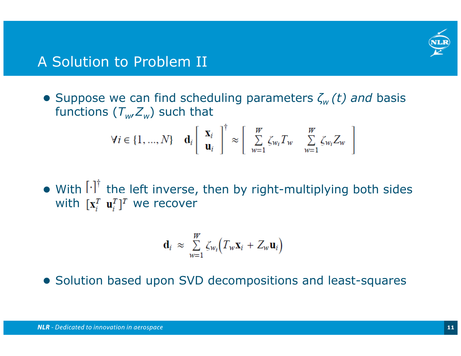

## A Solution to Problem II

 Suppose we can find scheduling parameters *ζw (t) and* basis functions ( *Tw,Z <sup>w</sup>*) such that

$$
\forall i \in \{1, ..., N\} \quad \mathbf{d}_i \left[ \begin{array}{c} \mathbf{x}_i \\ \mathbf{u}_i \end{array} \right]^{\dagger} \approx \left[ \begin{array}{c} W \\ \sum_{w=1}^{W} \zeta_{w_i} T_w & \sum_{w=1}^{W} \zeta_{w_i} Z_w \end{array} \right]
$$

• With I<sup>.</sup>I' the left inverse, then by right-multiplying both sides with  $\mathbf{x}^{\scriptscriptstyle T}_i$   $\mathbf{u}^{\scriptscriptstyle T}_i$ ]<sup> $\scriptscriptstyle T$ </sup> we recover

$$
\mathbf{d}_i \approx \sum_{w=1}^W \zeta_{w_i} \Big( T_w \mathbf{x}_i + Z_w \mathbf{u}_i \Big)
$$

Solution based upon SVD decompositions and least-squares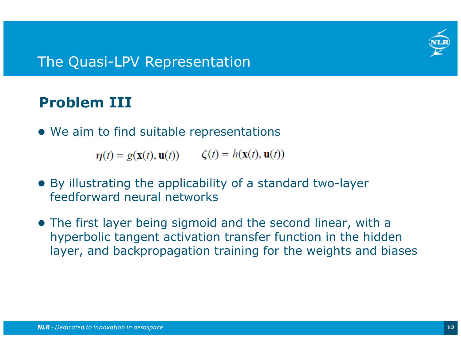

# **Problem III**

We aim to find suitable representations

 $\eta(t) = g(\mathbf{x}(t), \mathbf{u}(t))$   $\zeta(t) = h(\mathbf{x}(t), \mathbf{u}(t))$ 

- By illustrating the applicability of a standard two-layer feedforward neural networks
- The first layer being sigmoid and the second linear, with a hyperbolic tangent activation transfer function in the hidden layer, and backpropagation training for the weights and biases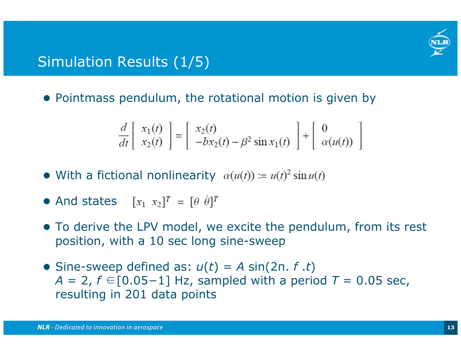

# Simulation Results (1/5)

• Pointmass pendulum, the rotational motion is given by

$$
\frac{d}{dt}\begin{bmatrix} x_1(t) \\ x_2(t) \end{bmatrix} = \begin{bmatrix} x_2(t) \\ -bx_2(t) - \beta^2 \sin x_1(t) \end{bmatrix} + \begin{bmatrix} 0 \\ \alpha(u(t)) \end{bmatrix}
$$

- With a fictional nonlinearity
- **And states**
- To derive the LPV model, we excite the pendulum, from its rest position, with a 10 sec long sine-sweep
- $\bullet$  Sine-sweep defined as:  $u(t) = A \sin(2\pi t, f \cdot t)$ *A* = 2, *f* ∈[0.05–1] Hz, sampled with a period *T* = 0.05 sec, resulting in 201 data points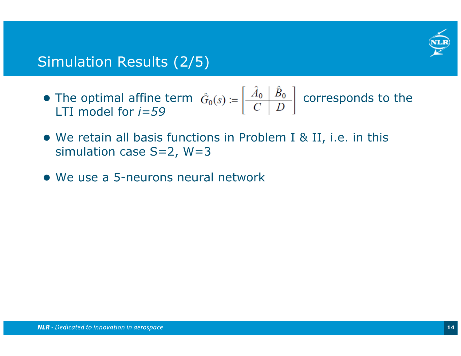

# Simulation Results (2/5)

- The optimal affine term  $\hat{G}_0(s) := \left|\frac{A_0 B_0}{s} \right|$  corresponds to the LTI model for *i=59*
- We retain all basis functions in Problem I & II, i.e. in this simulation case S=2, W=3
- We use a 5-neurons neural network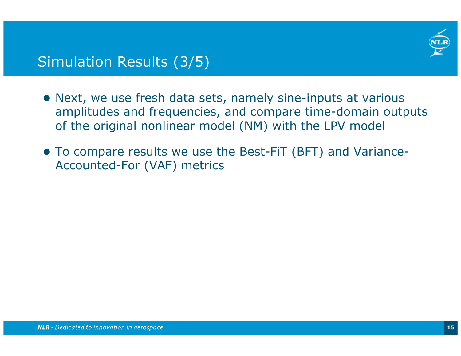

# Simulation Results (3/5)

- Next, we use fresh data sets, namely sine-inputs at various amplitudes and frequencies, and compare time-domain outputs of the original nonlinear model (NM) with the LPV model
- To compare results we use the Best-FiT (BFT) and Variance-Accounted-For (VAF) metrics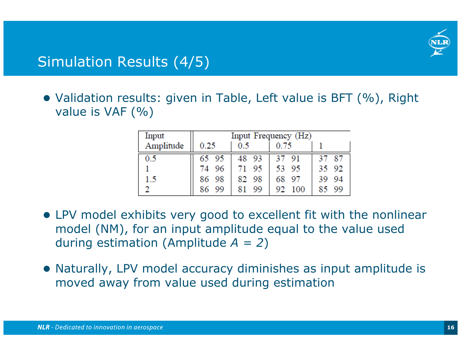

# Simulation Results (4/5)

 Validation results: given in Table, Left value is BFT (%), Right value is VAF (%)

| Input     | Input Frequency (Hz) |          |           |           |
|-----------|----------------------|----------|-----------|-----------|
| Amplitude | 0.25                 | 0.5      | 0.75      |           |
| 0.5       | 65 95                | 48 93    | 37 91     | 37 87     |
|           | 74 96                | 95       | 53 95     | 92<br>35  |
| 1.5       | 86 98                | 82 98    | 68 97     | -94<br>39 |
|           | 99<br>86             | 99<br>81 | 92<br>100 | 99<br>85  |

- LPV model exhibits very good to excellent fit with the nonlinear model (NM), for an input amplitude equal to the value used during estimation (Amplitude *A = 2* )
- Naturally, LPV model accuracy diminishes as input amplitude is moved away from value used during estimation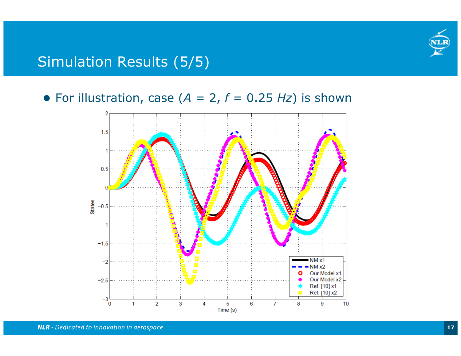

# Simulation Results (5/5)

For illustration, case (*A* = 2, *f* = 0.25 *Hz*) is shown